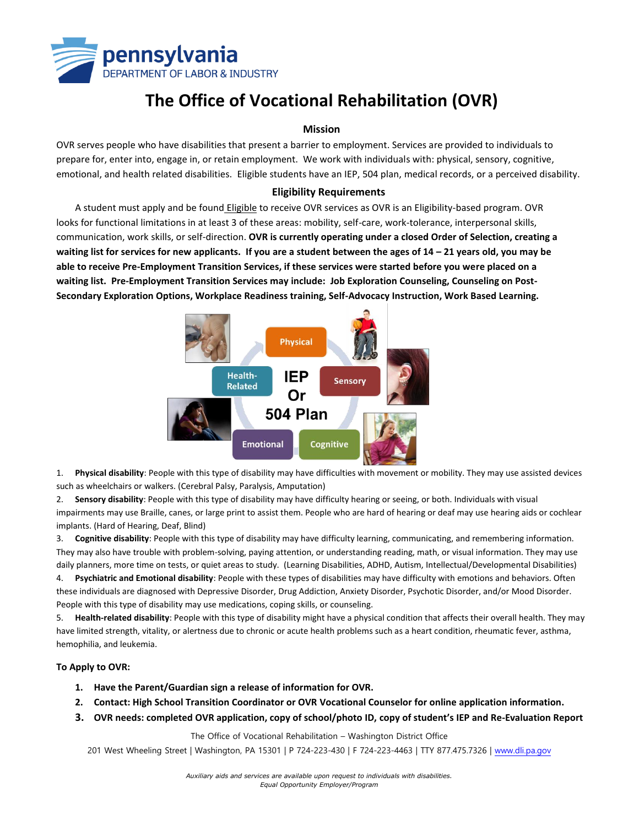

# **The Office of Vocational Rehabilitation (OVR)**

#### **Mission**

OVR serves people who have disabilities that present a barrier to employment. Services are provided to individuals to prepare for, enter into, engage in, or retain employment. We work with individuals with: physical, sensory, cognitive, emotional, and health related disabilities. Eligible students have an IEP, 504 plan, medical records, or a perceived disability.

### **Eligibility Requirements**

A student must apply and be found Eligible to receive OVR services as OVR is an Eligibility-based program. OVR looks for functional limitations in at least 3 of these areas: mobility, self-care, work-tolerance, interpersonal skills, communication, work skills, or self-direction. **OVR is currently operating under a closed Order of Selection, creating a**  waiting list for services for new applicants. If you are a student between the ages of 14 – 21 years old, you may be **able to receive Pre-Employment Transition Services, if these services were started before you were placed on a waiting list. Pre-Employment Transition Services may include: Job Exploration Counseling, Counseling on Post-Secondary Exploration Options, Workplace Readiness training, Self-Advocacy Instruction, Work Based Learning.**



1. **Physical disability**: People with this type of disability may have difficulties with movement or mobility. They may use assisted devices such as wheelchairs or walkers. (Cerebral Palsy, Paralysis, Amputation)

2. **Sensory disability**: People with this type of disability may have difficulty hearing or seeing, or both. Individuals with visual impairments may use Braille, canes, or large print to assist them. People who are hard of hearing or deaf may use hearing aids or cochlear implants. (Hard of Hearing, Deaf, Blind)

3. **Cognitive disability**: People with this type of disability may have difficulty learning, communicating, and remembering information. They may also have trouble with problem-solving, paying attention, or understanding reading, math, or visual information. They may use daily planners, more time on tests, or quiet areas to study. (Learning Disabilities, ADHD, Autism, Intellectual/Developmental Disabilities)

4. **Psychiatric and Emotional disability**: People with these types of disabilities may have difficulty with emotions and behaviors. Often these individuals are diagnosed with Depressive Disorder, Drug Addiction, Anxiety Disorder, Psychotic Disorder, and/or Mood Disorder. People with this type of disability may use medications, coping skills, or counseling.

5. **Health-related disability**: People with this type of disability might have a physical condition that affects their overall health. They may have limited strength, vitality, or alertness due to chronic or acute health problems such as a heart condition, rheumatic fever, asthma, hemophilia, and leukemia.

#### **To Apply to OVR:**

- **1. Have the Parent/Guardian sign a release of information for OVR.**
- **2. Contact: High School Transition Coordinator or OVR Vocational Counselor for online application information.**
- **3. OVR needs: completed OVR application, copy of school/photo ID, copy of student's IEP and Re-Evaluation Report**

The Office of Vocational Rehabilitation – Washington District Office

201 West Wheeling Street | Washington, PA 15301 | P 724-223-430 | F 724-223-4463 | TTY 877.475.7326 | [www.dli.pa.gov](http://www.dli.pa.gov/)